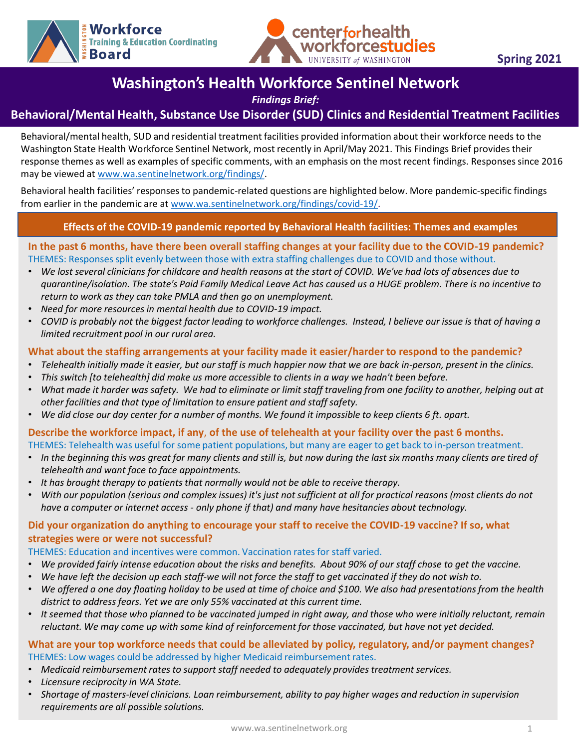



# **Washington's Health Workforce Sentinel Network**

*Findings Brief:*

## **Behavioral/Mental Health, Substance Use Disorder (SUD) Clinics and Residential Treatment Facilities**

Behavioral/mental health, SUD and residential treatment facilities provided information about their workforce needs to the Washington State Health Workforce Sentinel Network, most recently in April/May 2021. This Findings Brief provides their response themes as well as examples of specific comments, with an emphasis on the most recent findings. Responses since 2016 may be viewed at [www.wa.sentinelnetwork.org/findings/.](http://www.wa.sentinelnetwork.org/findings/)

Behavioral health facilities' responses to pandemic-related questions are highlighted below. More pandemic-specific findings from earlier in the pandemic are at [www.wa.sentinelnetwork.org/findings/covid-19/.](https://wa.sentinelnetwork.org/findings/covid-19/)

## **Effects of the COVID-19 pandemic reported by Behavioral Health facilities: Themes and examples**

## **In the past o months, have there been overall staring changes at your facility due to the COVID-15 pandem**<br>THEMES: Responses split evenly between those with extra staffing challenges due to COVID and those without. **In the past 6 months, have there been overall staffing changes at your facility due to the COVID-19 pandemic?**

- *We lost several clinicians for childcare and health reasons at the start of COVID. We've had lots of absences due to quarantine/isolation. The state's Paid Family Medical Leave Act has caused us a HUGE problem. There is no incentive to return to work as they can take PMLA and then go on unemployment.*
- *Need for more resources in mental health due to COVID-19 impact.*
- *COVID is probably not the biggest factor leading to workforce challenges. Instead, I believe our issue is that of having a limited recruitment pool in our rural area.*

## **What about the staffing arrangements at your facility made it easier/harder to respond to the pandemic?**

- *Telehealth initially made it easier, but our staff is much happier now that we are back in-person, present in the clinics.*
- *This switch [to telehealth] did make us more accessible to clients in a way we hadn't been before.*
- *What made it harder was safety. We had to eliminate or limit staff traveling from one facility to another, helping out at other facilities and that type of limitation to ensure patient and staff safety.*
- *We did close our day center for a number of months. We found it impossible to keep clients 6 ft. apart.*

### **Describe the workforce impact, if any**, **of the use of telehealth at your facility over the past 6 months.** THEMES: Telehealth was useful for some patient populations, but many are eager to get back to in-person treatment.

- *In the beginning this was great for many clients and still is, but now during the last six months many clients are tired of telehealth and want face to face appointments.*
- *It has brought therapy to patients that normally would not be able to receive therapy.*
- *With our population (serious and complex issues) it's just not sufficient at all for practical reasons (most clients do not have a computer or internet access - only phone if that) and many have hesitancies about technology.*

## **Did your organization do anything to encourage your staff to receive the COVID-19 vaccine? If so, what strategies were or were not successful?**

THEMES: Education and incentives were common. Vaccination rates for staff varied.

- *We provided fairly intense education about the risks and benefits. About 90% of our staff chose to get the vaccine.*
- *We have left the decision up each staff-we will not force the staff to get vaccinated if they do not wish to.*
- *We offered a one day floating holiday to be used at time of choice and \$100. We also had presentations from the health district to address fears. Yet we are only 55% vaccinated at this current time.*
- *It seemed that those who planned to be vaccinated jumped in right away, and those who were initially reluctant, remain reluctant. We may come up with some kind of reinforcement for those vaccinated, but have not yet decided.*

### **What are your top workforce needs that could be alleviated by policy, regulatory, and/or payment changes?**  THEMES: Low wages could be addressed by higher Medicaid reimbursement rates.

- *Medicaid reimbursement rates to support staff needed to adequately provides treatment services.*
- *Licensure reciprocity in WA State.*
- *Shortage of masters-level clinicians. Loan reimbursement, ability to pay higher wages and reduction in supervision requirements are all possible solutions.*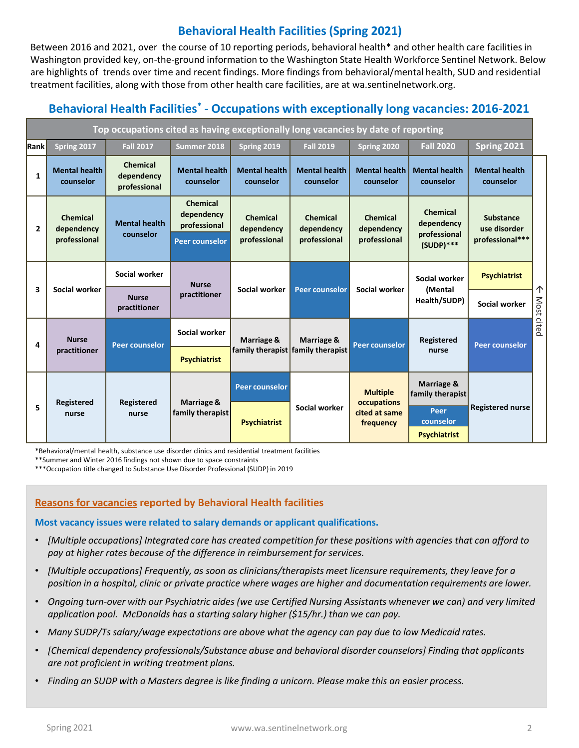## **Behavioral Health Facilities (Spring 2021)**

Between 2016 and 2021, over the course of 10 reporting periods, behavioral health\* and other health care facilities in Washington provided key, on-the-ground information to the Washington State Health Workforce Sentinel Network. Below are highlights of trends over time and recent findings. More findings from behavioral/mental health, SUD and residential treatment facilities, along with those from other health care facilities, are at wa.sentinelnetwork.org.

## **Behavioral Health Facilities\* - Occupations with exceptionally long vacancies: 2016-2021**

| Top occupations cited as having exceptionally long vacancies by date of reporting |                                        |                                               |                                                                        |                                        |                                                 |                                                              |                                                              |                                              |                 |
|-----------------------------------------------------------------------------------|----------------------------------------|-----------------------------------------------|------------------------------------------------------------------------|----------------------------------------|-------------------------------------------------|--------------------------------------------------------------|--------------------------------------------------------------|----------------------------------------------|-----------------|
| <b>Rank</b>                                                                       | Spring 2017                            | <b>Fall 2017</b>                              | Summer 2018                                                            | Spring 2019                            | <b>Fall 2019</b>                                | Spring 2020                                                  | <b>Fall 2020</b>                                             | Spring 2021                                  |                 |
| 1                                                                                 | <b>Mental health</b><br>counselor      | <b>Chemical</b><br>dependency<br>professional | <b>Mental health</b><br>counselor                                      | <b>Mental health</b><br>counselor      | <b>Mental health</b><br>counselor               | <b>Mental health</b><br>counselor                            | <b>Mental health</b><br>counselor                            | <b>Mental health</b><br>counselor            |                 |
| $\overline{2}$                                                                    | Chemical<br>dependency<br>professional | <b>Mental health</b><br>counselor             | <b>Chemical</b><br>dependency<br>professional<br><b>Peer counselor</b> | Chemical<br>dependency<br>professional | <b>Chemical</b><br>dependency<br>professional   | Chemical<br>dependency<br>professional                       | <b>Chemical</b><br>dependency<br>professional<br>$(SUDP)***$ | Substance<br>use disorder<br>professional*** | 个<br>Most cited |
| 3                                                                                 | Social worker                          | Social worker                                 | <b>Nurse</b><br>practitioner                                           | Social worker                          | <b>Peer counselor</b>                           | Social worker                                                | Social worker<br>(Mental<br>Health/SUDP)                     | <b>Psychiatrist</b>                          |                 |
|                                                                                   |                                        | <b>Nurse</b><br>practitioner                  |                                                                        |                                        |                                                 |                                                              |                                                              | Social worker                                |                 |
| 4                                                                                 | <b>Nurse</b><br>practitioner           | <b>Peer counselor</b>                         | Social worker                                                          | Marriage &                             | Marriage &<br>family therapist family therapist | <b>Peer counselor</b>                                        | <b>Registered</b><br>nurse                                   | <b>Peer counselor</b>                        |                 |
|                                                                                   |                                        |                                               | <b>Psychiatrist</b>                                                    |                                        |                                                 |                                                              |                                                              |                                              |                 |
| 5                                                                                 | <b>Registered</b><br>nurse             | Registered<br>nurse                           | Marriage &<br>family therapist                                         | <b>Peer counselor</b>                  | Social worker                                   | <b>Multiple</b><br>occupations<br>cited at same<br>frequency | Marriage &<br>family therapist                               |                                              |                 |
|                                                                                   |                                        |                                               |                                                                        | <b>Psychiatrist</b>                    |                                                 |                                                              | Peer<br>counselor<br><b>Psychiatrist</b>                     | <b>Registered nurse</b>                      |                 |

\*Behavioral/mental health, substance use disorder clinics and residential treatment facilities

\*\*Summer and Winter 2016 findings not shown due to space constraints

\*\*\*Occupation title changed to Substance Use Disorder Professional (SUDP) in 2019

## **Reasons for vacancies reported by Behavioral Health facilities**

**Most vacancy issues were related to salary demands or applicant qualifications.** 

- *[Multiple occupations] Integrated care has created competition for these positions with agencies that can afford to pay at higher rates because of the difference in reimbursement for services.*
- *[Multiple occupations] Frequently, as soon as clinicians/therapists meet licensure requirements, they leave for a position in a hospital, clinic or private practice where wages are higher and documentation requirements are lower.*
- *Ongoing turn-over with our Psychiatric aides (we use Certified Nursing Assistants whenever we can) and very limited application pool. McDonalds has a starting salary higher (\$15/hr.) than we can pay.*
- *Many SUDP/Ts salary/wage expectations are above what the agency can pay due to low Medicaid rates.*
- *[Chemical dependency professionals/Substance abuse and behavioral disorder counselors] Finding that applicants are not proficient in writing treatment plans.*
- *Finding an SUDP with a Masters degree is like finding a unicorn. Please make this an easier process.*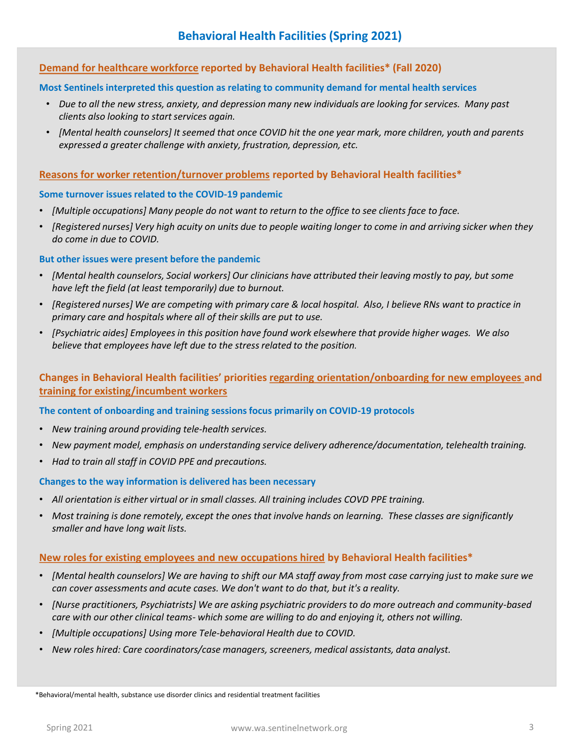## **Demand for healthcare workforce reported by Behavioral Health facilities\* (Fall 2020)**

#### **Most Sentinels interpreted this question as relating to community demand for mental health services**

- *Due to all the new stress, anxiety, and depression many new individuals are looking for services. Many past clients also looking to start services again.*
- *[Mental health counselors] It seemed that once COVID hit the one year mark, more children, youth and parents expressed a greater challenge with anxiety, frustration, depression, etc.*

#### **Reasons for worker retention/turnover problems reported by Behavioral Health facilities\***

#### **Some turnover issues related to the COVID-19 pandemic**

- *[Multiple occupations] Many people do not want to return to the office to see clients face to face.*
- *[Registered nurses] Very high acuity on units due to people waiting longer to come in and arriving sicker when they do come in due to COVID.*

#### **But other issues were present before the pandemic**

- *[Mental health counselors, Social workers] Our clinicians have attributed their leaving mostly to pay, but some have left the field (at least temporarily) due to burnout.*
- *[Registered nurses] We are competing with primary care & local hospital. Also, I believe RNs want to practice in primary care and hospitals where all of their skills are put to use.*
- *[Psychiatric aides] Employees in this position have found work elsewhere that provide higher wages. We also believe that employees have left due to the stress related to the position.*

**Changes in Behavioral Health facilities' priorities regarding orientation/onboarding for new employees and training for existing/incumbent workers**

#### **The content of onboarding and training sessions focus primarily on COVID-19 protocols**

- *New training around providing tele-health services.*
- *New payment model, emphasis on understanding service delivery adherence/documentation, telehealth training.*
- *Had to train all staff in COVID PPE and precautions.*

#### **Changes to the way information is delivered has been necessary**

- *All orientation is either virtual or in small classes. All training includes COVD PPE training.*
- *Most training is done remotely, except the ones that involve hands on learning. These classes are significantly smaller and have long wait lists.*

#### **New roles for existing employees and new occupations hired by Behavioral Health facilities\***

- *[Mental health counselors] We are having to shift our MA staff away from most case carrying just to make sure we can cover assessments and acute cases. We don't want to do that, but it's a reality.*
- *[Nurse practitioners, Psychiatrists] We are asking psychiatric providers to do more outreach and community-based care with our other clinical teams- which some are willing to do and enjoying it, others not willing.*
- *[Multiple occupations] Using more Tele-behavioral Health due to COVID.*
- *New roles hired: Care coordinators/case managers, screeners, medical assistants, data analyst.*

\*Behavioral/mental health, substance use disorder clinics and residential treatment facilities